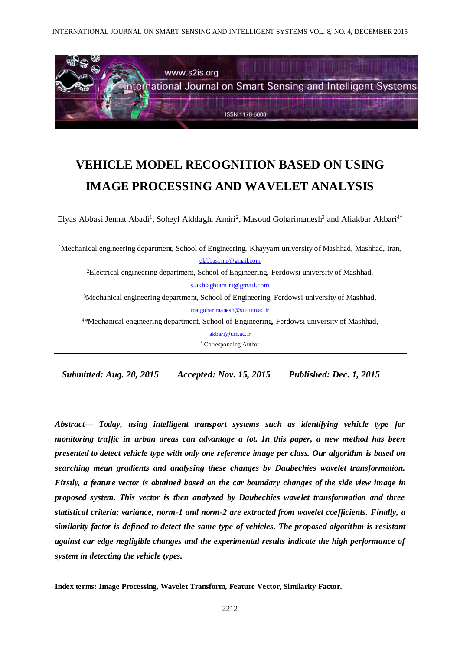

# **VEHICLE MODEL RECOGNITION BASED ON USING IMAGE PROCESSING AND WAVELET ANALYSIS**

Elyas Abbasi Jennat Abadi<sup>1</sup>, Soheyl Akhlaghi Amiri<sup>2</sup>, Masoud Goharimanesh<sup>3</sup> and Aliakbar Akbari<sup>4\*</sup>

| <sup>1</sup> Mechanical engineering department, School of Engineering, Khayyam university of Mashhad, Mashhad, Iran, |
|----------------------------------------------------------------------------------------------------------------------|
| elabbasi.me@gmail.com                                                                                                |
| <sup>2</sup> Electrical engineering department, School of Engineering, Ferdowsi university of Mashhad,               |
| s.akhlaghiamiri@gmail.com                                                                                            |
| <sup>3</sup> Mechanical engineering department, School of Engineering, Ferdowsi university of Mashhad,               |
| ma.goharimanesh@stu.um.ac.ir                                                                                         |
| <sup>4*</sup> Mechanical engineering department, School of Engineering, Ferdowsi university of Mashhad,              |
| akbari@um.ac.ir                                                                                                      |
| * Corresponding Author                                                                                               |
|                                                                                                                      |

 *Submitted: Aug. 20, 2015 Accepted: Nov. 15, 2015 Published: Dec. 1, 2015*

*Abstract— Today, using intelligent transport systems such as identifying vehicle type for monitoring traffic in urban areas can advantage a lot. In this paper, a new method has been presented to detect vehicle type with only one reference image per class. Our algorithm is based on searching mean gradients and analysing these changes by Daubechies wavelet transformation. Firstly, a feature vector is obtained based on the car boundary changes of the side view image in proposed system. This vector is then analyzed by Daubechies wavelet transformation and three statistical criteria; variance, norm-1 and norm-2 are extracted from wavelet coefficients. Finally, a similarity factor is defined to detect the same type of vehicles. The proposed algorithm is resistant against car edge negligible changes and the experimental results indicate the high performance of system in detecting the vehicle types.* 

**Index terms: Image Processing, Wavelet Transform, Feature Vector, Similarity Factor.**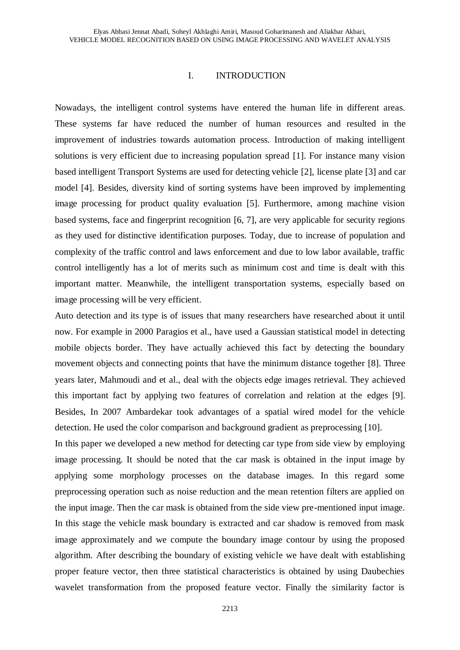## I. INTRODUCTION

Nowadays, the intelligent control systems have entered the human life in different areas. These systems far have reduced the number of human resources and resulted in the improvement of industries towards automation process. Introduction of making intelligent solutions is very efficient due to increasing population spread [1]. For instance many vision based intelligent Transport Systems are used for detecting vehicle [2], license plate [3] and car model [4]. Besides, diversity kind of sorting systems have been improved by implementing image processing for product quality evaluation [5]. Furthermore, among machine vision based systems, face and fingerprint recognition [6, 7], are very applicable for security regions as they used for distinctive identification purposes. Today, due to increase of population and complexity of the traffic control and laws enforcement and due to low labor available, traffic control intelligently has a lot of merits such as minimum cost and time is dealt with this important matter. Meanwhile, the intelligent transportation systems, especially based on image processing will be very efficient.

Auto detection and its type is of issues that many researchers have researched about it until now. For example in 2000 Paragios et al., have used a Gaussian statistical model in detecting mobile objects border. They have actually achieved this fact by detecting the boundary movement objects and connecting points that have the minimum distance together [8]. Three years later, Mahmoudi and et al., deal with the objects edge images retrieval. They achieved this important fact by applying two features of correlation and relation at the edges [9]. Besides, In 2007 Ambardekar took advantages of a spatial wired model for the vehicle detection. He used the color comparison and background gradient as preprocessing [10].

In this paper we developed a new method for detecting car type from side view by employing image processing. It should be noted that the car mask is obtained in the input image by applying some morphology processes on the database images. In this regard some preprocessing operation such as noise reduction and the mean retention filters are applied on the input image. Then the car mask is obtained from the side view pre-mentioned input image. In this stage the vehicle mask boundary is extracted and car shadow is removed from mask image approximately and we compute the boundary image contour by using the proposed algorithm. After describing the boundary of existing vehicle we have dealt with establishing proper feature vector, then three statistical characteristics is obtained by using Daubechies wavelet transformation from the proposed feature vector. Finally the similarity factor is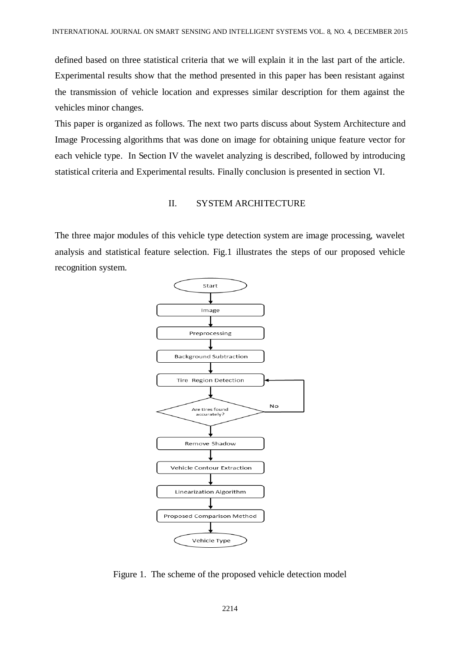defined based on three statistical criteria that we will explain it in the last part of the article. Experimental results show that the method presented in this paper has been resistant against the transmission of vehicle location and expresses similar description for them against the vehicles minor changes.

This paper is organized as follows. The next two parts discuss about System Architecture and Image Processing algorithms that was done on image for obtaining unique feature vector for each vehicle type. In Section IV the wavelet analyzing is described, followed by introducing statistical criteria and Experimental results. Finally conclusion is presented in section VI.

#### II. SYSTEM ARCHITECTURE

The three major modules of this vehicle type detection system are image processing, wavelet analysis and statistical feature selection. Fig.1 illustrates the steps of our proposed vehicle recognition system.



Figure 1. The scheme of the proposed vehicle detection model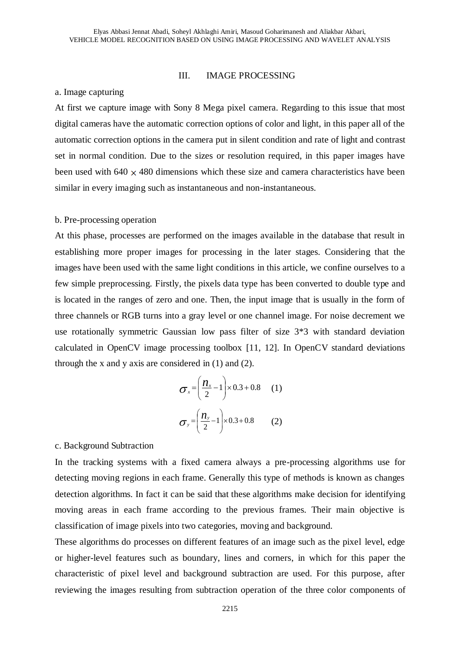## III. IMAGE PROCESSING

#### a. Image capturing

At first we capture image with Sony 8 Mega pixel camera. Regarding to this issue that most digital cameras have the automatic correction options of color and light, in this paper all of the automatic correction options in the camera put in silent condition and rate of light and contrast set in normal condition. Due to the sizes or resolution required, in this paper images have been used with  $640 \times 480$  dimensions which these size and camera characteristics have been similar in every imaging such as instantaneous and non-instantaneous.

#### b. Pre-processing operation

At this phase, processes are performed on the images available in the database that result in establishing more proper images for processing in the later stages. Considering that the images have been used with the same light conditions in this article, we confine ourselves to a few simple preprocessing. Firstly, the pixels data type has been converted to double type and is located in the ranges of zero and one. Then, the input image that is usually in the form of three channels or RGB turns into a gray level or one channel image. For noise decrement we use rotationally symmetric Gaussian low pass filter of size 3\*3 with standard deviation calculated in OpenCV image processing toolbox [11, 12]. In OpenCV standard deviations through the x and y axis are considered in (1) and (2).

$$
\sigma_x = \left(\frac{n_x}{2} - 1\right) \times 0.3 + 0.8 \quad (1)
$$

$$
\sigma_y = \left(\frac{n_y}{2} - 1\right) \times 0.3 + 0.8 \quad (2)
$$

#### c. Background Subtraction

In the tracking systems with a fixed camera always a pre-processing algorithms use for detecting moving regions in each frame. Generally this type of methods is known as changes detection algorithms. In fact it can be said that these algorithms make decision for identifying moving areas in each frame according to the previous frames. Their main objective is classification of image pixels into two categories, moving and background.

These algorithms do processes on different features of an image such as the pixel level, edge or higher-level features such as boundary, lines and corners, in which for this paper the characteristic of pixel level and background subtraction are used. For this purpose, after reviewing the images resulting from subtraction operation of the three color components of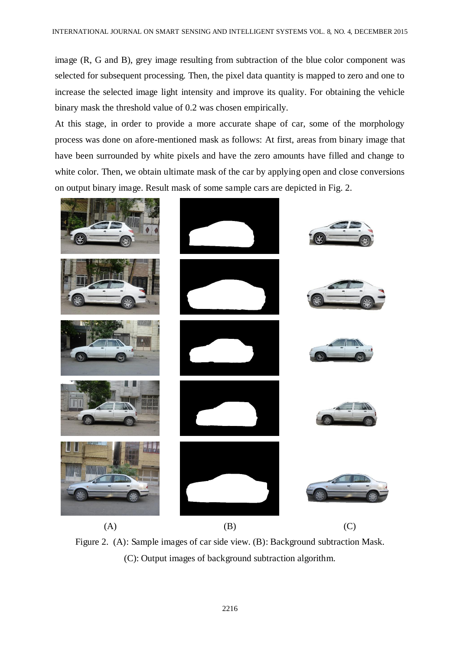image (R, G and B), grey image resulting from subtraction of the blue color component was selected for subsequent processing. Then, the pixel data quantity is mapped to zero and one to increase the selected image light intensity and improve its quality. For obtaining the vehicle binary mask the threshold value of 0.2 was chosen empirically.

At this stage, in order to provide a more accurate shape of car, some of the morphology process was done on afore-mentioned mask as follows: At first, areas from binary image that have been surrounded by white pixels and have the zero amounts have filled and change to white color. Then, we obtain ultimate mask of the car by applying open and close conversions on output binary image. Result mask of some sample cars are depicted in Fig. 2.



Figure 2. (A): Sample images of car side view. (B): Background subtraction Mask. (C): Output images of background subtraction algorithm.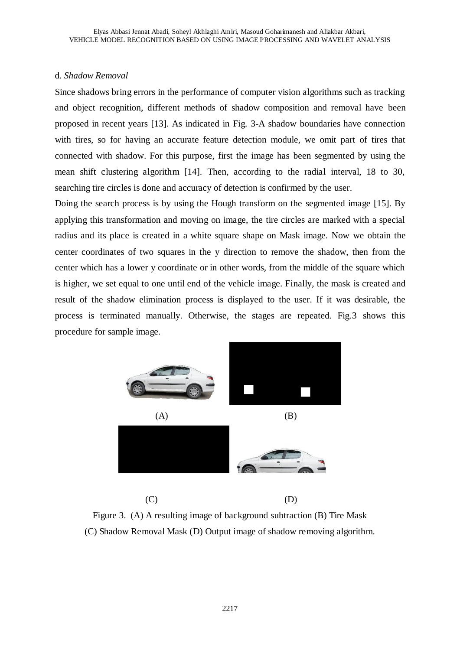## d. *Shadow Removal*

Since shadows bring errors in the performance of computer vision algorithms such as tracking and object recognition, different methods of shadow composition and removal have been proposed in recent years [13]. As indicated in Fig. 3-A shadow boundaries have connection with tires, so for having an accurate feature detection module, we omit part of tires that connected with shadow. For this purpose, first the image has been segmented by using the mean shift clustering algorithm [14]. Then, according to the radial interval, 18 to 30, searching tire circles is done and accuracy of detection is confirmed by the user.

Doing the search process is by using the Hough transform on the segmented image [15]. By applying this transformation and moving on image, the tire circles are marked with a special radius and its place is created in a white square shape on Mask image. Now we obtain the center coordinates of two squares in the y direction to remove the shadow, then from the center which has a lower y coordinate or in other words, from the middle of the square which is higher, we set equal to one until end of the vehicle image. Finally, the mask is created and result of the shadow elimination process is displayed to the user. If it was desirable, the process is terminated manually. Otherwise, the stages are repeated. Fig.3 shows this procedure for sample image.



Figure 3. (A) A resulting image of background subtraction (B) Tire Mask (C) Shadow Removal Mask (D) Output image of shadow removing algorithm.

 $(C)$   $(D)$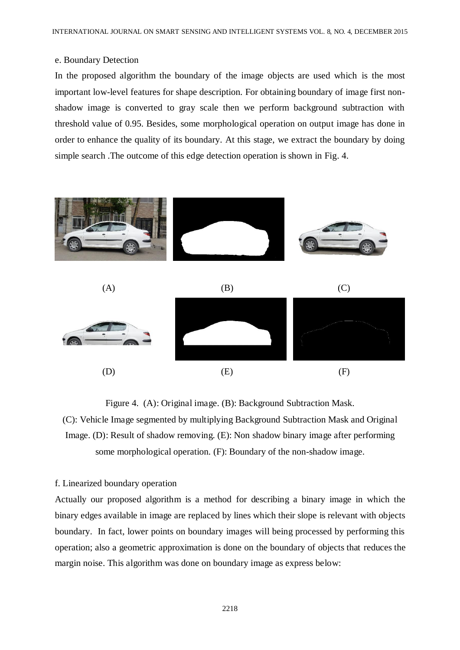#### e. Boundary Detection

In the proposed algorithm the boundary of the image objects are used which is the most important low-level features for shape description. For obtaining boundary of image first nonshadow image is converted to gray scale then we perform background subtraction with threshold value of 0.95. Besides, some morphological operation on output image has done in order to enhance the quality of its boundary. At this stage, we extract the boundary by doing simple search .The outcome of this edge detection operation is shown in Fig. 4.



Figure 4. (A): Original image. (B): Background Subtraction Mask.

(C): Vehicle Image segmented by multiplying Background Subtraction Mask and Original Image. (D): Result of shadow removing. (E): Non shadow binary image after performing some morphological operation. (F): Boundary of the non-shadow image.

#### f. Linearized boundary operation

Actually our proposed algorithm is a method for describing a binary image in which the binary edges available in image are replaced by lines which their slope is relevant with objects boundary. In fact, lower points on boundary images will being processed by performing this operation; also a geometric approximation is done on the boundary of objects that reduces the margin noise. This algorithm was done on boundary image as express below: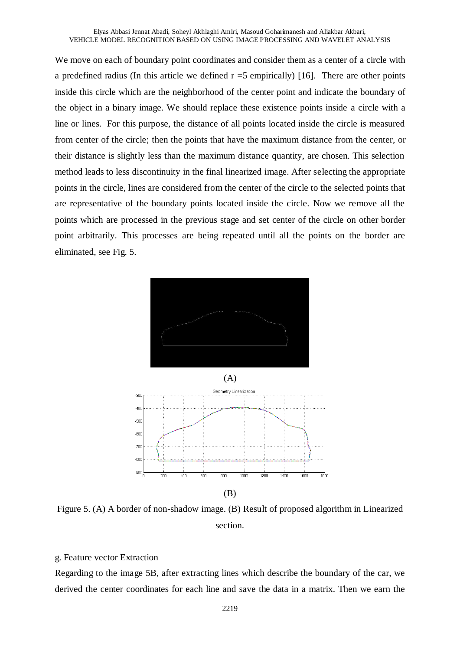We move on each of boundary point coordinates and consider them as a center of a circle with a predefined radius (In this article we defined  $r = 5$  empirically) [16]. There are other points inside this circle which are the neighborhood of the center point and indicate the boundary of the object in a binary image. We should replace these existence points inside a circle with a line or lines. For this purpose, the distance of all points located inside the circle is measured from center of the circle; then the points that have the maximum distance from the center, or their distance is slightly less than the maximum distance quantity, are chosen. This selection method leads to less discontinuity in the final linearized image. After selecting the appropriate points in the circle, lines are considered from the center of the circle to the selected points that are representative of the boundary points located inside the circle. Now we remove all the points which are processed in the previous stage and set center of the circle on other border point arbitrarily. This processes are being repeated until all the points on the border are eliminated, see Fig. 5.



Figure 5. (A) A border of non-shadow image. (B) Result of proposed algorithm in Linearized section.

## g. Feature vector Extraction

Regarding to the image 5B, after extracting lines which describe the boundary of the car, we derived the center coordinates for each line and save the data in a matrix. Then we earn the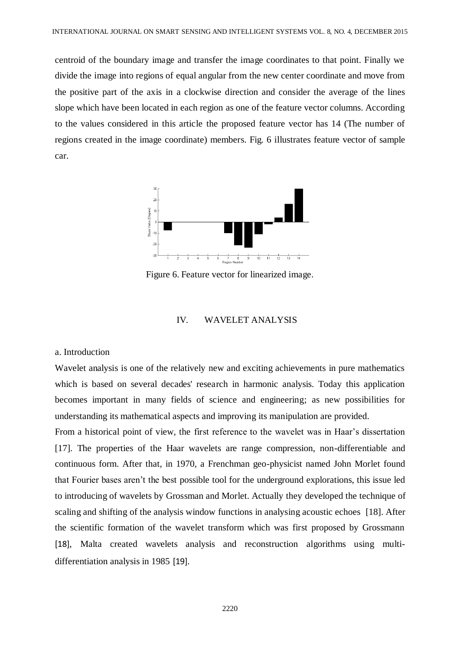centroid of the boundary image and transfer the image coordinates to that point. Finally we divide the image into regions of equal angular from the new center coordinate and move from the positive part of the axis in a clockwise direction and consider the average of the lines slope which have been located in each region as one of the feature vector columns. According to the values considered in this article the proposed feature vector has 14 (The number of regions created in the image coordinate) members. Fig. 6 illustrates feature vector of sample car.



Figure 6. Feature vector for linearized image.

## IV. WAVELET ANALYSIS

#### a. Introduction

Wavelet analysis is one of the relatively new and exciting achievements in pure mathematics which is based on several decades' research in harmonic analysis. Today this application becomes important in many fields of science and engineering; as new possibilities for understanding its mathematical aspects and improving its manipulation are provided.

From a historical point of view, the first reference to the wavelet was in Haar's dissertation [17]. The properties of the Haar wavelets are range compression, non-differentiable and continuous form. After that, in 1970, a Frenchman geo-physicist named John Morlet found that Fourier bases aren't the best possible tool for the underground explorations, this issue led to introducing of wavelets by Grossman and Morlet. Actually they developed the technique of scaling and shifting of the analysis window functions in analysing acoustic echoes [18]. After the scientific formation of the wavelet transform which was first proposed by Grossmann [18], Malta created wavelets analysis and reconstruction algorithms using multidifferentiation analysis in 1985 [19].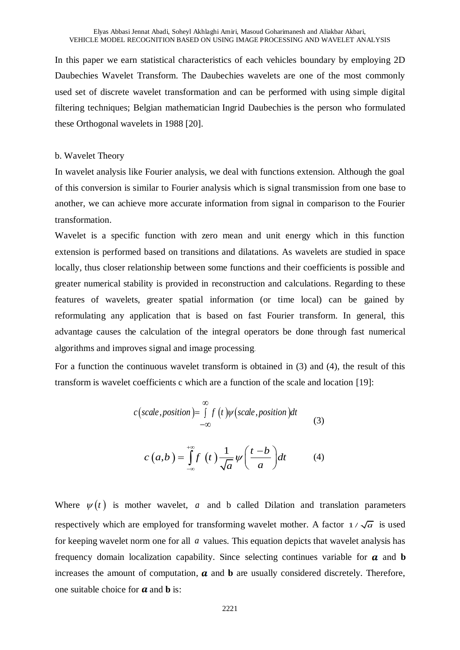#### Elyas Abbasi Jennat Abadi, Soheyl Akhlaghi Amiri, Masoud Goharimanesh and Aliakbar Akbari, VEHICLE MODEL RECOGNITION BASED ON USING IMAGE PROCESSING AND WAVELET ANALYSIS

In this paper we earn statistical characteristics of each vehicles boundary by employing 2D Daubechies Wavelet Transform. The Daubechies wavelets are one of the most commonly used set of discrete wavelet transformation and can be performed with using simple digital filtering techniques; Belgian mathematician Ingrid Daubechies is the person who formulated these Orthogonal wavelets in 1988 [20].

#### b. Wavelet Theory

In wavelet analysis like Fourier analysis, we deal with functions extension. Although the goal of this conversion is similar to Fourier analysis which is signal transmission from one base to another, we can achieve more accurate information from signal in comparison to the Fourier transformation.

Wavelet is a specific function with zero mean and unit energy which in this function extension is performed based on transitions and dilatations. As wavelets are studied in space locally, thus closer relationship between some functions and their coefficients is possible and greater numerical stability is provided in reconstruction and calculations. Regarding to these features of wavelets, greater spatial information (or time local) can be gained by reformulating any application that is based on fast Fourier transform. In general, this advantage causes the calculation of the integral operators be done through fast numerical algorithms and improves signal and image processing.

For a function the continuous wavelet transform is obtained in (3) and (4), the result of this transform is wavelet coefficients c which are a function of the scale and location [19]:

$$
c\big(scale, position\big) = \int_{-\infty}^{\infty} f\big(t\big)\psi\big(scale, position\big)dt\tag{3}
$$

$$
c(a,b) = \int_{-\infty}^{+\infty} f(t) \frac{1}{\sqrt{a}} \psi\left(\frac{t-b}{a}\right) dt \tag{4}
$$

Where  $\psi(t)$  is mother wavelet, *a* and b called Dilation and translation parameters respectively which are employed for transforming wavelet mother. A factor  $1/\sqrt{a}$  is used for keeping wavelet norm one for all a values. This equation depicts that wavelet analysis has frequency domain localization capability. Since selecting continues variable for  $\alpha$  and  $\beta$ increases the amount of computation,  $\boldsymbol{a}$  and  $\boldsymbol{b}$  are usually considered discretely. Therefore, one suitable choice for  $\boldsymbol{a}$  and **b** is: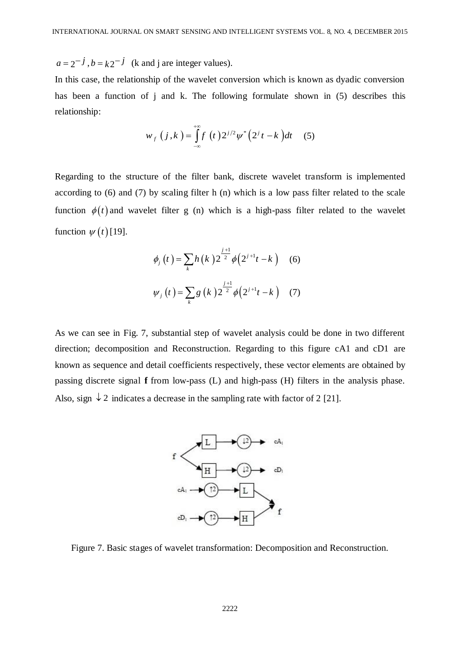$a = 2^{-j}$ ,  $b = k2^{-j}$  (k and j are integer values).

In this case, the relationship of the wavelet conversion which is known as dyadic conversion has been a function of j and k. The following formulate shown in (5) describes this relationship:

$$
w_f (j,k) = \int_{-\infty}^{+\infty} f (t) 2^{j/2} \psi^* (2^j t - k) dt
$$
 (5)

Regarding to the structure of the filter bank, discrete wavelet transform is implemented according to (6) and (7) by scaling filter h (n) which is a low pass filter related to the scale function  $\phi(t)$  and wavelet filter g (n) which is a high-pass filter related to the wavelet function  $\psi(t)$  [19].

$$
\phi_j(t) = \sum_k h(k) 2^{\frac{j+1}{2}} \phi(2^{j+1}t - k) \quad (6)
$$

$$
\psi_j(t) = \sum_k g(k) 2^{\frac{j+1}{2}} \phi(2^{j+1}t - k) \quad (7)
$$

As we can see in Fig. 7, substantial step of wavelet analysis could be done in two different direction; decomposition and Reconstruction. Regarding to this figure cA1 and cD1 are known as sequence and detail coefficients respectively, these vector elements are obtained by passing discrete signal **f** from low-pass (L) and high-pass (H) filters in the analysis phase. Also, sign  $\sqrt{2}$  indicates a decrease in the sampling rate with factor of 2 [21].



Figure 7. Basic stages of wavelet transformation: Decomposition and Reconstruction.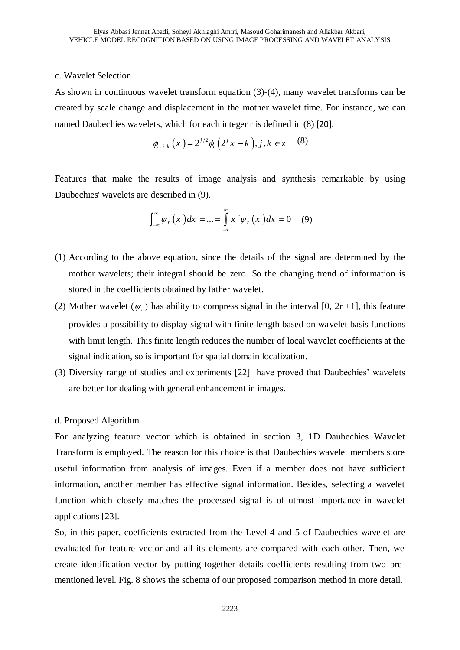## c. Wavelet Selection

As shown in continuous wavelet transform equation (3)-(4), many wavelet transforms can be created by scale change and displacement in the mother wavelet time. For instance, we can named Daubechies wavelets, which for each integer r is defined in (8) [20].

$$
\phi_{r,j,k}(x) = 2^{j/2} \phi_r(2^j x - k), j, k \in \mathbb{Z}
$$
 (8)

Features that make the results of image analysis and synthesis remarkable by using Daubechies' wavelets are described in (9).

$$
\int_{-\infty}^{\infty} \psi_r(x) dx = ... = \int_{-\infty}^{\infty} x^r \psi_r(x) dx = 0 \quad (9)
$$

- (1) According to the above equation, since the details of the signal are determined by the mother wavelets; their integral should be zero. So the changing trend of information is stored in the coefficients obtained by father wavelet.
- (2) Mother wavelet  $(\psi_r)$  has ability to compress signal in the interval [0, 2r +1], this feature provides a possibility to display signal with finite length based on wavelet basis functions with limit length. This finite length reduces the number of local wavelet coefficients at the signal indication, so is important for spatial domain localization.
- (3) Diversity range of studies and experiments [22] have proved that Daubechies' wavelets are better for dealing with general enhancement in images.

## d. Proposed Algorithm

For analyzing feature vector which is obtained in section 3, 1D Daubechies Wavelet Transform is employed. The reason for this choice is that Daubechies wavelet members store useful information from analysis of images. Even if a member does not have sufficient information, another member has effective signal information. Besides, selecting a wavelet function which closely matches the processed signal is of utmost importance in wavelet applications [23].

So, in this paper, coefficients extracted from the Level 4 and 5 of Daubechies wavelet are evaluated for feature vector and all its elements are compared with each other. Then, we create identification vector by putting together details coefficients resulting from two prementioned level. Fig. 8 shows the schema of our proposed comparison method in more detail.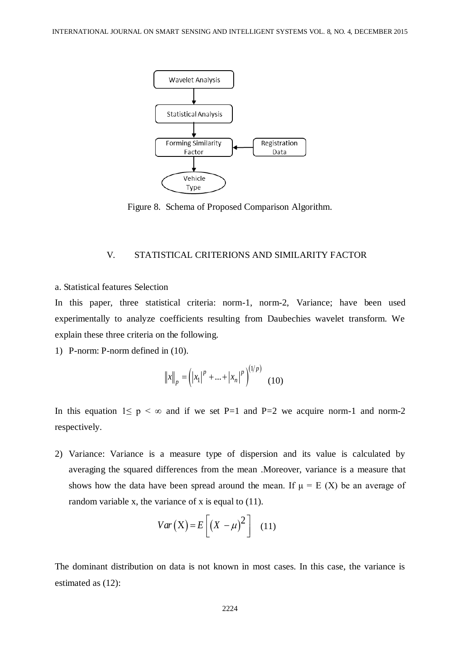

Figure 8. Schema of Proposed Comparison Algorithm.

## V. STATISTICAL CRITERIONS AND SIMILARITY FACTOR

a. Statistical features Selection

In this paper, three statistical criteria: norm-1, norm-2, Variance; have been used experimentally to analyze coefficients resulting from Daubechies wavelet transform. We explain these three criteria on the following.

1) P-norm: P-norm defined in (10).

$$
||x||_p = (|x_1|^p + ... + |x_n|^p)^{(1/p)} \tag{10}
$$

In this equation  $1 \le p \le \infty$  and if we set P=1 and P=2 we acquire norm-1 and norm-2 respectively.

2) Variance: Variance is a measure type of dispersion and its value is calculated by averaging the squared differences from the mean .Moreover, variance is a measure that shows how the data have been spread around the mean. If  $\mu = E(X)$  be an average of random variable x, the variance of x is equal to (11).

$$
Var(X) = E\left[ (X - \mu)^2 \right] \quad (11)
$$

The dominant distribution on data is not known in most cases. In this case, the variance is estimated as (12):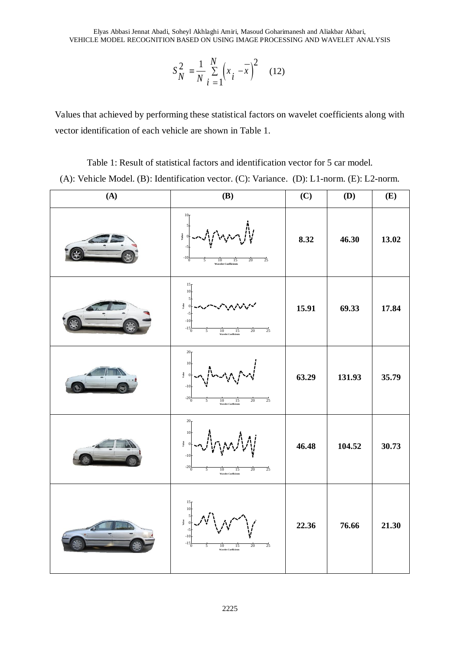$$
S_N^2 = \frac{1}{N} \sum_{i=1}^N (x_i - \overline{x})^2
$$
 (12)

| $S_N = \frac{1}{N} \sum_{i=1}^{N} {x_i - x_i}$ (12)                                                                                                                             |                                                                                                                                          |       |            |            |  |  |  |  |
|---------------------------------------------------------------------------------------------------------------------------------------------------------------------------------|------------------------------------------------------------------------------------------------------------------------------------------|-------|------------|------------|--|--|--|--|
| Values that achieved by performing these statistical factors on wavelet coefficients along with<br>vector identification of each vehicle are shown in Table 1.                  |                                                                                                                                          |       |            |            |  |  |  |  |
| Table 1: Result of statistical factors and identification vector for 5 car model.<br>(A): Vehicle Model. (B): Identification vector. (C): Variance. (D): L1-norm. (E): L2-norm. |                                                                                                                                          |       |            |            |  |  |  |  |
| (A)                                                                                                                                                                             | <b>(B)</b>                                                                                                                               | (C)   | <b>(D)</b> | <b>(E)</b> |  |  |  |  |
|                                                                                                                                                                                 | 10 <sub>1</sub><br>Value<br>8.32<br>$-100$<br>25<br>10<br>15<br>20<br>5<br><b>Wavelet Coefficient</b>                                    |       | 46.30      | 13.02      |  |  |  |  |
|                                                                                                                                                                                 | 15<br>10<br>Value<br>$-10$<br>$-156$<br>$\overline{25}$<br>5<br>20<br>$10$<br>15<br><b>Wavelet Coeffi</b>                                | 15.91 | 69.33      | 17.84      |  |  |  |  |
|                                                                                                                                                                                 | 20 <sub>l</sub><br>10<br>Ĵ<br>$-10$<br>$-20\frac{L}{0}$<br>$\overline{25}$<br>20<br>10<br>15<br><b>Wavelet Coefficients</b>              | 63.29 | 131.93     | 35.79      |  |  |  |  |
|                                                                                                                                                                                 | 20 <sub>1</sub><br>10<br>Value<br>$-10$<br>$-20\frac{L}{0}$<br>$\overline{25}$<br>$20\,$<br>5<br>15<br>10<br><b>Wavelet Coefficients</b> | 46.48 | 104.52     | 30.73      |  |  |  |  |
|                                                                                                                                                                                 | 15<br>10<br>Value<br>$-10$<br>$-156$<br>$\overline{25}$<br>$20\,$<br>5<br>10<br>15<br><b>Wavelet Coefficients</b>                        | 22.36 | 76.66      | 21.30      |  |  |  |  |
|                                                                                                                                                                                 | 2225                                                                                                                                     |       |            |            |  |  |  |  |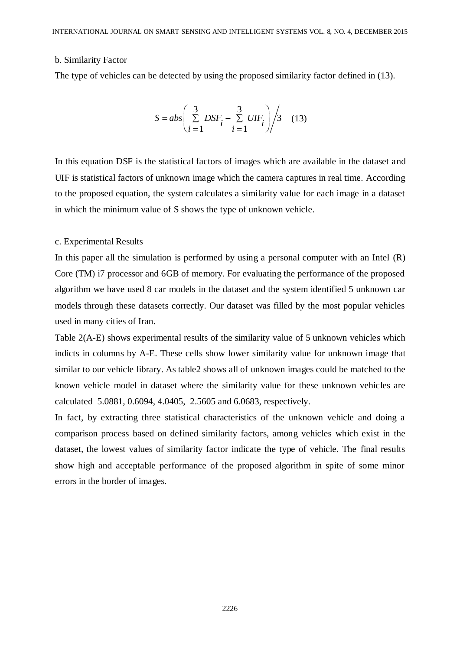#### b. Similarity Factor

The type of vehicles can be detected by using the proposed similarity factor defined in (13).

$$
S = abs\left(\sum_{i=1}^{3} DSF_i - \sum_{i=1}^{3} UIF_i\right) / 3 \quad (13)
$$

In this equation DSF is the statistical factors of images which are available in the dataset and UIF is statistical factors of unknown image which the camera captures in real time. According to the proposed equation, the system calculates a similarity value for each image in a dataset in which the minimum value of S shows the type of unknown vehicle.

#### c. Experimental Results

In this paper all the simulation is performed by using a personal computer with an Intel  $(R)$ Core (TM) i7 processor and 6GB of memory. For evaluating the performance of the proposed algorithm we have used 8 car models in the dataset and the system identified 5 unknown car models through these datasets correctly. Our dataset was filled by the most popular vehicles used in many cities of Iran.

Table 2(A-E) shows experimental results of the similarity value of 5 unknown vehicles which indicts in columns by A-E. These cells show lower similarity value for unknown image that similar to our vehicle library. As table2 shows all of unknown images could be matched to the known vehicle model in dataset where the similarity value for these unknown vehicles are calculated 5.0881, 0.6094, 4.0405, 2.5605 and 6.0683, respectively.

In fact, by extracting three statistical characteristics of the unknown vehicle and doing a comparison process based on defined similarity factors, among vehicles which exist in the dataset, the lowest values of similarity factor indicate the type of vehicle. The final results show high and acceptable performance of the proposed algorithm in spite of some minor errors in the border of images.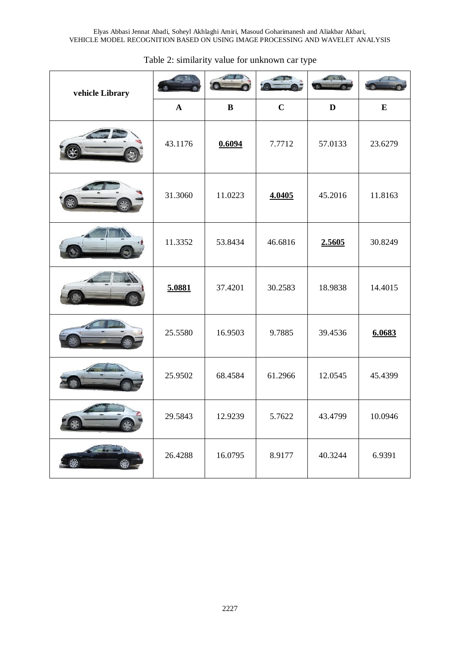Elyas Abbasi Jennat Abadi, Soheyl Akhlaghi Amiri, Masoud Goharimanesh and Aliakbar Akbari, VEHICLE MODEL RECOGNITION BASED ON USING IMAGE PROCESSING AND WAVELET ANALYSIS

| vehicle Library |              |              |             |             |           |
|-----------------|--------------|--------------|-------------|-------------|-----------|
|                 | $\mathbf{A}$ | $\, {\bf B}$ | $\mathbf C$ | $\mathbf D$ | ${\bf E}$ |
|                 | 43.1176      | 0.6094       | 7.7712      | 57.0133     | 23.6279   |
|                 | 31.3060      | 11.0223      | 4.0405      | 45.2016     | 11.8163   |
|                 | 11.3352      | 53.8434      | 46.6816     | 2.5605      | 30.8249   |
|                 | 5.0881       | 37.4201      | 30.2583     | 18.9838     | 14.4015   |
|                 | 25.5580      | 16.9503      | 9.7885      | 39.4536     | 6.0683    |
|                 | 25.9502      | 68.4584      | 61.2966     | 12.0545     | 45.4399   |
| $\bullet$<br>参  | 29.5843      | 12.9239      | 5.7622      | 43.4799     | 10.0946   |
| ₩<br>\$         | 26.4288      | 16.0795      | 8.9177      | 40.3244     | 6.9391    |

## Table 2: similarity value for unknown car type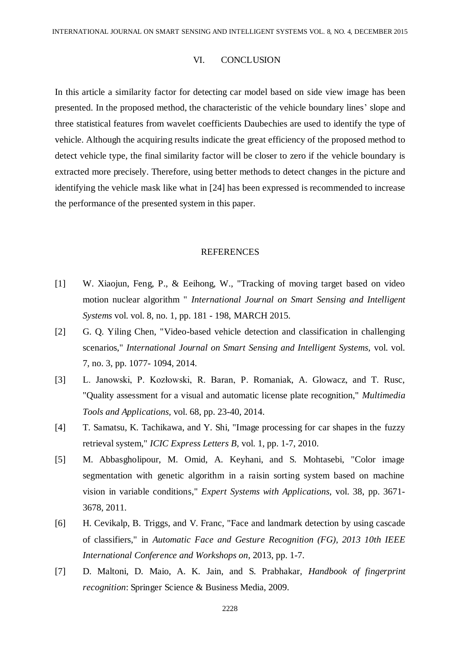## VI. CONCLUSION

In this article a similarity factor for detecting car model based on side view image has been presented. In the proposed method, the characteristic of the vehicle boundary lines' slope and three statistical features from wavelet coefficients Daubechies are used to identify the type of vehicle. Although the acquiring results indicate the great efficiency of the proposed method to detect vehicle type, the final similarity factor will be closer to zero if the vehicle boundary is extracted more precisely. Therefore, using better methods to detect changes in the picture and identifying the vehicle mask like what in [24] has been expressed is recommended to increase the performance of the presented system in this paper.

#### REFERENCES

- [1] W. Xiaojun, Feng, P., & Eeihong, W., "Tracking of moving target based on video motion nuclear algorithm " *International Journal on Smart Sensing and Intelligent Systems* vol. vol. 8, no. 1, pp. 181 - 198, MARCH 2015.
- [2] G. Q. Yiling Chen, "Video-based vehicle detection and classification in challenging scenarios," *International Journal on Smart Sensing and Intelligent Systems,* vol. vol. 7, no. 3, pp. 1077- 1094, 2014.
- [3] L. Janowski, P. Kozłowski, R. Baran, P. Romaniak, A. Glowacz, and T. Rusc, "Quality assessment for a visual and automatic license plate recognition," *Multimedia Tools and Applications,* vol. 68, pp. 23-40, 2014.
- [4] T. Samatsu, K. Tachikawa, and Y. Shi, "Image processing for car shapes in the fuzzy retrieval system," *ICIC Express Letters B,* vol. 1, pp. 1-7, 2010.
- [5] M. Abbasgholipour, M. Omid, A. Keyhani, and S. Mohtasebi, "Color image segmentation with genetic algorithm in a raisin sorting system based on machine vision in variable conditions," *Expert Systems with Applications,* vol. 38, pp. 3671- 3678, 2011.
- [6] H. Cevikalp, B. Triggs, and V. Franc, "Face and landmark detection by using cascade of classifiers," in *Automatic Face and Gesture Recognition (FG), 2013 10th IEEE International Conference and Workshops on*, 2013, pp. 1-7.
- [7] D. Maltoni, D. Maio, A. K. Jain, and S. Prabhakar, *Handbook of fingerprint recognition*: Springer Science & Business Media, 2009.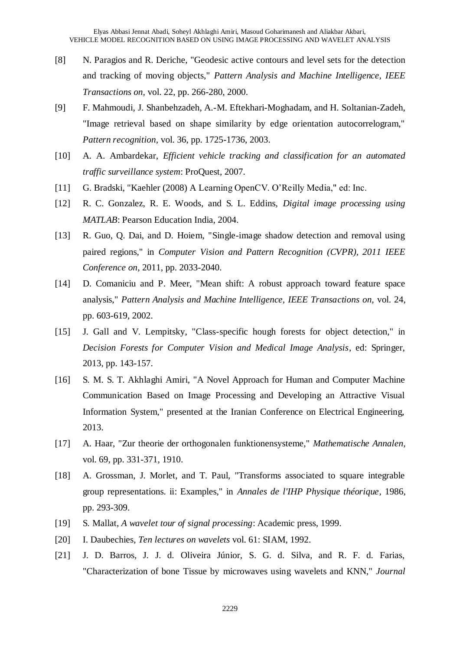- [8] N. Paragios and R. Deriche, "Geodesic active contours and level sets for the detection and tracking of moving objects," *Pattern Analysis and Machine Intelligence, IEEE Transactions on,* vol. 22, pp. 266-280, 2000.
- [9] F. Mahmoudi, J. Shanbehzadeh, A.-M. Eftekhari-Moghadam, and H. Soltanian-Zadeh, "Image retrieval based on shape similarity by edge orientation autocorrelogram," *Pattern recognition,* vol. 36, pp. 1725-1736, 2003.
- [10] A. A. Ambardekar, *Efficient vehicle tracking and classification for an automated traffic surveillance system*: ProQuest, 2007.
- [11] G. Bradski, "Kaehler (2008) A Learning OpenCV. O'Reilly Media," ed: Inc.
- [12] R. C. Gonzalez, R. E. Woods, and S. L. Eddins, *Digital image processing using MATLAB*: Pearson Education India, 2004.
- [13] R. Guo, Q. Dai, and D. Hoiem, "Single-image shadow detection and removal using paired regions," in *Computer Vision and Pattern Recognition (CVPR), 2011 IEEE Conference on*, 2011, pp. 2033-2040.
- [14] D. Comaniciu and P. Meer, "Mean shift: A robust approach toward feature space analysis," *Pattern Analysis and Machine Intelligence, IEEE Transactions on,* vol. 24, pp. 603-619, 2002.
- [15] J. Gall and V. Lempitsky, "Class-specific hough forests for object detection," in *Decision Forests for Computer Vision and Medical Image Analysis*, ed: Springer, 2013, pp. 143-157.
- [16] S. M. S. T. Akhlaghi Amiri, "A Novel Approach for Human and Computer Machine Communication Based on Image Processing and Developing an Attractive Visual Information System," presented at the Iranian Conference on Electrical Engineering, 2013.
- [17] A. Haar, "Zur theorie der orthogonalen funktionensysteme," *Mathematische Annalen,*  vol. 69, pp. 331-371, 1910.
- [18] A. Grossman, J. Morlet, and T. Paul, "Transforms associated to square integrable group representations. ii: Examples," in *Annales de l'IHP Physique théorique*, 1986, pp. 293-309.
- [19] S. Mallat, *A wavelet tour of signal processing*: Academic press, 1999.
- [20] I. Daubechies, *Ten lectures on wavelets* vol. 61: SIAM, 1992.
- [21] J. D. Barros, J. J. d. Oliveira Júnior, S. G. d. Silva, and R. F. d. Farias, "Characterization of bone Tissue by microwaves using wavelets and KNN," *Journal*